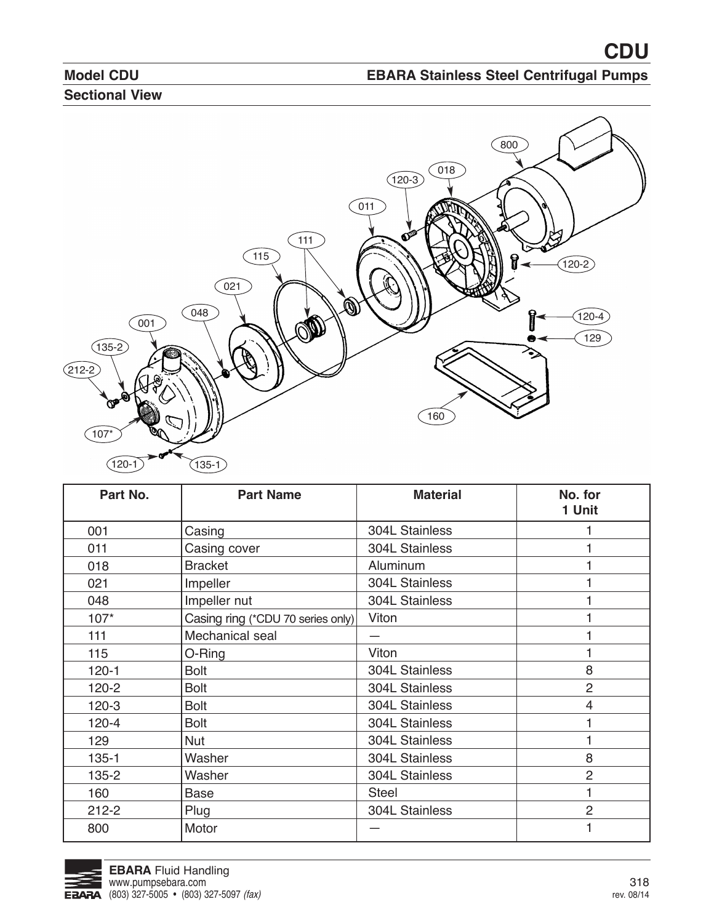

| Part No.  | <b>Part Name</b>                  | <b>Material</b>       | No. for<br>1 Unit |
|-----------|-----------------------------------|-----------------------|-------------------|
| 001       | Casing                            | <b>304L Stainless</b> |                   |
| 011       | Casing cover                      | 304L Stainless        |                   |
| 018       | <b>Bracket</b>                    | Aluminum              |                   |
| 021       | Impeller                          | 304L Stainless        |                   |
| 048       | Impeller nut                      | 304L Stainless        |                   |
| $107*$    | Casing ring (*CDU 70 series only) | Viton                 |                   |
| 111       | Mechanical seal                   |                       |                   |
| 115       | O-Ring                            | Viton                 |                   |
| $120 - 1$ | <b>Bolt</b>                       | 304L Stainless        | 8                 |
| $120 - 2$ | <b>Bolt</b>                       | 304L Stainless        | $\overline{2}$    |
| $120-3$   | <b>Bolt</b>                       | 304L Stainless        | 4                 |
| $120 - 4$ | <b>Bolt</b>                       | 304L Stainless        |                   |
| 129       | <b>Nut</b>                        | 304L Stainless        |                   |
| $135 - 1$ | Washer                            | 304L Stainless        | 8                 |
| 135-2     | Washer                            | 304L Stainless        | $\overline{2}$    |
| 160       | <b>Base</b>                       | <b>Steel</b>          |                   |
| $212 - 2$ | Plug                              | 304L Stainless        | $\overline{2}$    |
| 800       | Motor                             |                       |                   |